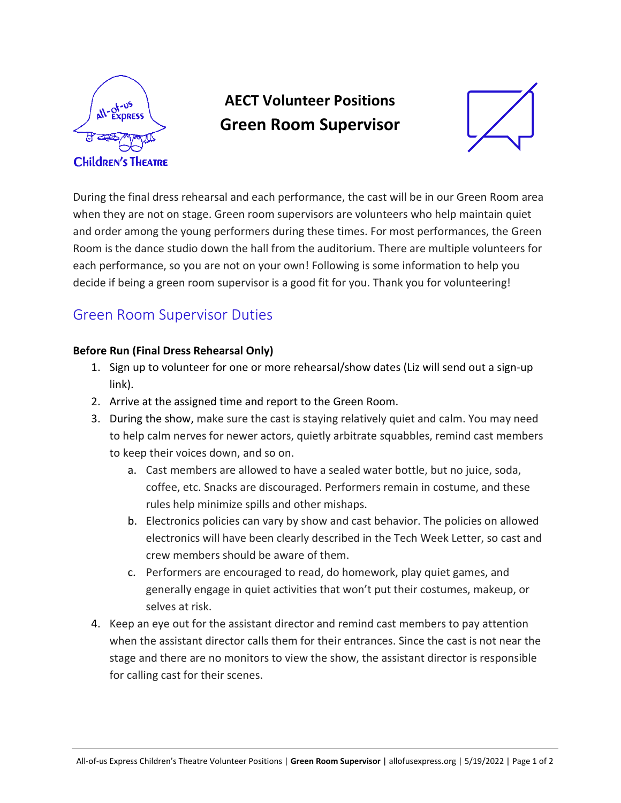

# **AECT Volunteer Positions Green Room Supervisor**



During the final dress rehearsal and each performance, the cast will be in our Green Room area when they are not on stage. Green room supervisors are volunteers who help maintain quiet and order among the young performers during these times. For most performances, the Green Room is the dance studio down the hall from the auditorium. There are multiple volunteers for each performance, so you are not on your own! Following is some information to help you decide if being a green room supervisor is a good fit for you. Thank you for volunteering!

### Green Room Supervisor Duties

#### **Before Run (Final Dress Rehearsal Only)**

- 1. Sign up to volunteer for one or more rehearsal/show dates (Liz will send out a sign-up link).
- 2. Arrive at the assigned time and report to the Green Room.
- 3. During the show, make sure the cast is staying relatively quiet and calm. You may need to help calm nerves for newer actors, quietly arbitrate squabbles, remind cast members to keep their voices down, and so on.
	- a. Cast members are allowed to have a sealed water bottle, but no juice, soda, coffee, etc. Snacks are discouraged. Performers remain in costume, and these rules help minimize spills and other mishaps.
	- b. Electronics policies can vary by show and cast behavior. The policies on allowed electronics will have been clearly described in the Tech Week Letter, so cast and crew members should be aware of them.
	- c. Performers are encouraged to read, do homework, play quiet games, and generally engage in quiet activities that won't put their costumes, makeup, or selves at risk.
- 4. Keep an eye out for the assistant director and remind cast members to pay attention when the assistant director calls them for their entrances. Since the cast is not near the stage and there are no monitors to view the show, the assistant director is responsible for calling cast for their scenes.